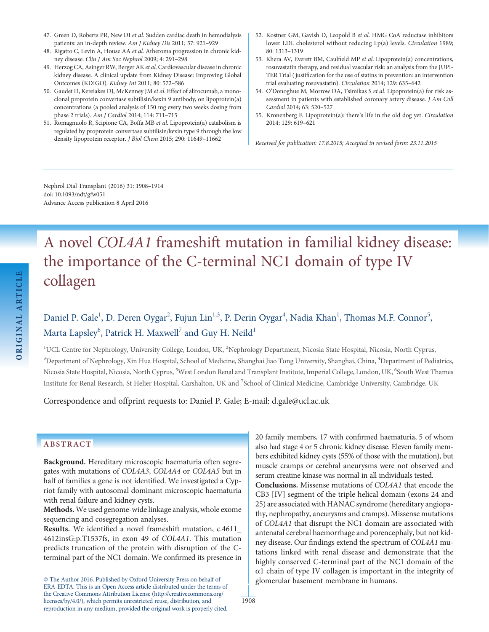- 47. Green D, Roberts PR, New DI et al. Sudden cardiac death in hemodialysis patients: an in-depth review. Am J Kidney Dis 2011; 57: 921–929
- 48. Rigatto C, Levin A, House AA et al. Atheroma progression in chronic kidney disease. Clin J Am Soc Nephrol 2009; 4: 291–298
- 49. Herzog CA, Asinger RW, Berger AK et al. Cardiovascular disease in chronic kidney disease. A clinical update from Kidney Disease: Improving Global Outcomes (KDIGO). Kidney Int 2011; 80: 572–586
- 50. Gaudet D, Kereiakes DJ, McKenney JM et al. Effect of alirocumab, a monoclonal proprotein convertase subtilisin/kexin 9 antibody, on lipoprotein(a) concentrations (a pooled analysis of 150 mg every two weeks dosing from phase 2 trials). Am J Cardiol 2014; 114: 711–715
- 51. Romagnuolo R, Scipione CA, Boffa MB et al. Lipoprotein(a) catabolism is regulated by proprotein convertase subtilisin/kexin type 9 through the low density lipoprotein receptor. J Biol Chem 2015; 290: 11649–11662
- 52. Kostner GM, Gavish D, Leopold B et al. HMG CoA reductase inhibitors lower LDL cholesterol without reducing Lp(a) levels. Circulation 1989; 80: 1313–1319
- 53. Khera AV, Everett BM, Caulfield MP et al. Lipoprotein(a) concentrations, rosuvastatin therapy, and residual vascular risk: an analysis from the JUPI-TER Trial ( justification for the use of statins in prevention: an intervention trial evaluating rosuvastatin). Circulation 2014; 129: 635–642
- 54. O'Donoghue M, Morrow DA, Tsimikas S et al. Lipoprotein(a) for risk assessment in patients with established coronary artery disease. J Am Coll Cardiol 2014; 63: 520–527
- 55. Kronenberg F. Lipoprotein(a): there's life in the old dog yet. Circulation 2014; 129: 619–621

Received for publication: 17.8.2015; Accepted in revised form: 23.11.2015

Nephrol Dial Transplant (2016) 31: 1908–1914 doi: 10.1093/ndt/gfw051 Advance Access publication 8 April 2016

# A novel COL4A1 frameshift mutation in familial kidney disease: the importance of the C-terminal NC1 domain of type IV collagen

# Daniel P. Gale<sup>1</sup>, D. Deren Oygar<sup>2</sup>, Fujun Lin<sup>1,3</sup>, P. Derin Oygar<sup>4</sup>, Nadia Khan<sup>1</sup>, Thomas M.F. Connor<sup>5</sup>, Marta Lapsley $^6$ , Patrick H. Maxwell $^7$  and Guy H. Neild $^1$

<sup>1</sup>UCL Centre for Nephrology, University College, London, UK, <sup>2</sup>Nephrology Department, Nicosia State Hospital, Nicosia, North Cyprus, <sup>3</sup>Department of Nephrology, Xin Hua Hospital, School of Medicine, Shanghai Jiao Tong University, Shanghai, China, <sup>4</sup>Department of Pediatrics, Nicosia State Hospital, Nicosia, North Cyprus, <sup>5</sup>West London Renal and Transplant Institute, Imperial College, London, UK, <sup>6</sup>South West Thames Institute for Renal Research, St Helier Hospital, Carshalton, UK and <sup>7</sup>School of Clinical Medicine, Cambridge University, Cambridge, UK

Correspondence and offprint requests to: Daniel P. Gale; E-mail: d.gale@ucl.ac.uk

# ABSTRACT

Background. Hereditary microscopic haematuria often segregates with mutations of COL4A3, COL4A4 or COL4A5 but in half of families a gene is not identified. We investigated a Cypriot family with autosomal dominant microscopic haematuria with renal failure and kidney cysts.

Methods. We used genome-wide linkage analysis, whole exome sequencing and cosegregation analyses.

Results. We identified a novel frameshift mutation, c.4611\_ 4612insG:p.T1537fs, in exon 49 of COL4A1. This mutation predicts truncation of the protein with disruption of the Cterminal part of the NC1 domain. We confirmed its presence in

© The Author 2016. Published by Oxford University Press on behalf of ERA-EDTA. This is an Open Access article distributed under the terms of the Creative Commons Attribution License [\(http://creativecommons.org/](http://creativecommons.org/licenses/by/4.0/) [licenses/by/4.0/\)](http://creativecommons.org/licenses/by/4.0/), which permits unrestricted reuse, distribution, and reproduction in any medium, provided the original work is properly cited.

20 family members, 17 with confirmed haematuria, 5 of whom also had stage 4 or 5 chronic kidney disease. Eleven family members exhibited kidney cysts (55% of those with the mutation), but muscle cramps or cerebral aneurysms were not observed and serum creatine kinase was normal in all individuals tested. Conclusions. Missense mutations of COL4A1 that encode the CB3 [IV] segment of the triple helical domain (exons 24 and 25) are associated with HANAC syndrome (hereditary angiopathy, nephropathy, aneurysms and cramps). Missense mutations

of COL4A1 that disrupt the NC1 domain are associated with antenatal cerebral haemorrhage and porencephaly, but not kidney disease. Our findings extend the spectrum of COL4A1 mutations linked with renal disease and demonstrate that the highly conserved C-terminal part of the NC1 domain of the α1 chain of type IV collagen is important in the integrity of glomerular basement membrane in humans.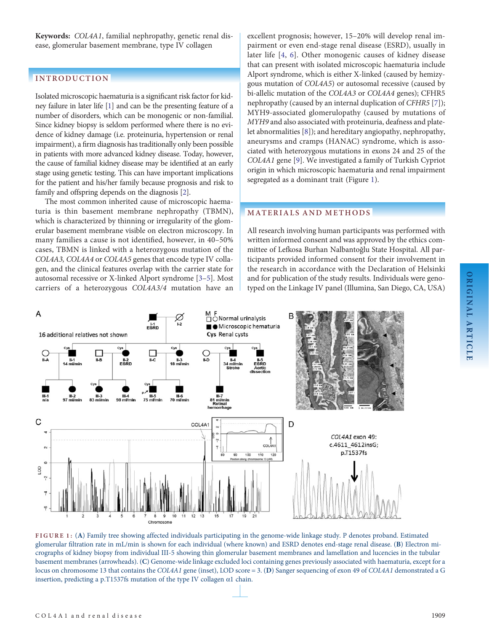<span id="page-1-0"></span>Keywords: COL4A1, familial nephropathy, genetic renal disease, glomerular basement membrane, type IV collagen

# INTRODUCTION

Isolated microscopic haematuria is a significant risk factor for kidney failure in later life [\[1\]](#page-5-0) and can be the presenting feature of a number of disorders, which can be monogenic or non-familial. Since kidney biopsy is seldom performed where there is no evidence of kidney damage (i.e. proteinuria, hypertension or renal impairment), a firm diagnosis has traditionally only been possible in patients with more advanced kidney disease. Today, however, the cause of familial kidney disease may be identified at an early stage using genetic testing. This can have important implications for the patient and his/her family because prognosis and risk to family and offspring depends on the diagnosis [\[2](#page-5-0)].

The most common inherited cause of microscopic haematuria is thin basement membrane nephropathy (TBMN), which is characterized by thinning or irregularity of the glomerular basement membrane visible on electron microscopy. In many families a cause is not identified, however, in 40–50% cases, TBMN is linked with a heterozygous mutation of the COL4A3, COL4A4 or COL4A5 genes that encode type IV collagen, and the clinical features overlap with the carrier state for autosomal recessive or X-linked Alport syndrome [[3](#page-5-0)–[5\]](#page-5-0). Most carriers of a heterozygous COL4A3/4 mutation have an excellent prognosis; however, 15–20% will develop renal impairment or even end-stage renal disease (ESRD), usually in later life [[4,](#page-5-0) [6](#page-5-0)]. Other monogenic causes of kidney disease that can present with isolated microscopic haematuria include Alport syndrome, which is either X-linked (caused by hemizygous mutation of COL4A5) or autosomal recessive (caused by bi-allelic mutation of the COL4A3 or COL4A4 genes); CFHR5 nephropathy (caused by an internal duplication of CFHR5 [[7\]](#page-5-0)); MYH9-associated glomerulopathy (caused by mutations of MYH9 and also associated with proteinuria, deafness and platelet abnormalities [\[8](#page-5-0)]); and hereditary angiopathy, nephropathy, aneurysms and cramps (HANAC) syndrome, which is associated with heterozygous mutations in exons 24 and 25 of the COL4A1 gene [[9\]](#page-5-0). We investigated a family of Turkish Cypriot origin in which microscopic haematuria and renal impairment segregated as a dominant trait (Figure 1).

## MATERIALS AND METHODS

All research involving human participants was performed with written informed consent and was approved by the ethics committee of Lefkosa Burhan Nalbantoğlu State Hospital. All participants provided informed consent for their involvement in the research in accordance with the Declaration of Helsinki and for publication of the study results. Individuals were genotyped on the Linkage IV panel (Illumina, San Diego, CA, USA)



FIGURE 1: (A) Family tree showing affected individuals participating in the genome-wide linkage study. P denotes proband. Estimated glomerular filtration rate in mL/min is shown for each individual (where known) and ESRD denotes end-stage renal disease. (B) Electron micrographs of kidney biopsy from individual III-5 showing thin glomerular basement membranes and lamellation and lucencies in the tubular basement membranes (arrowheads). (C) Genome-wide linkage excluded loci containing genes previously associated with haematuria, except for a locus on chromosome 13 that contains the COL4A1 gene (inset), LOD score = 3. (D) Sanger sequencing of exon 49 of COL4A1 demonstrated a G insertion, predicting a p.T1537fs mutation of the type IV collagen α1 chain.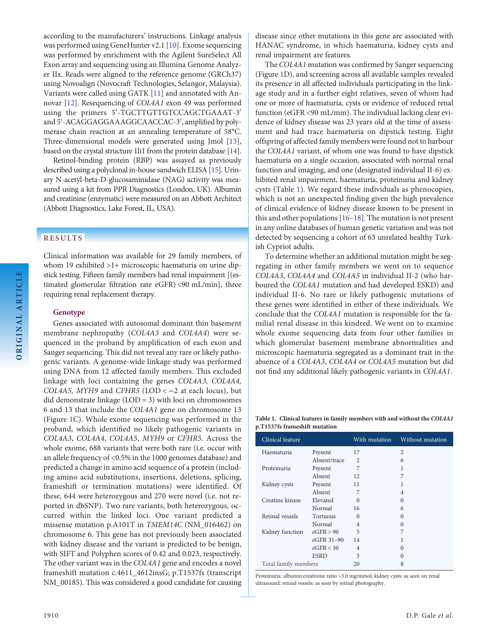according to the manufacturers' instructions. Linkage analysis was performed using GeneHunter v2.1 [[10](#page-5-0)]. Exome sequencing was performed by enrichment with the Agilent SureSelect All Exon array and sequencing using an Illumina Genome Analyzer IIx. Reads were aligned to the reference genome (GRCh37) using Novoalign (Novocraft Technologies, Selangor, Malaysia). Variants were called using GATK [\[11\]](#page-5-0) and annotated with Annovar [[12](#page-5-0)]. Resequencing of COL4A1 exon 49 was performed using the primers 5'-TGCTTGTTGTCCAGCTGAAAT-3' and 5'-ACAGGAGGAAAGGCAACCAC-3', amplified by polymerase chain reaction at an annealing temperature of 58°C. Three-dimensional models were generated using Jmol [\[13\]](#page-5-0), based on the crystal structure 1li1 from the protein database [[14](#page-5-0)].

Retinol-binding protein (RBP) was assayed as previously described using a polyclonal in-house sandwich ELISA [[15\]](#page-5-0). Urinary N-acetyl-beta-D-glucosaminidase (NAG) activity was measured using a kit from PPR Diagnostics (London, UK). Albumin and creatinine (enzymatic) were measured on an Abbott Architect (Abbott Diagnostics, Lake Forest, IL, USA).

# RESULTS

Clinical information was available for 29 family members, of whom 19 exhibited >1+ microscopic haematuria on urine dipstick testing. Fifteen family members had renal impairment [(estimated glomerular filtration rate eGFR) <90 mL/min], three requiring renal replacement therapy.

#### Genotype

Genes associated with autosomal dominant thin basement membrane nephropathy (COL4A3 and COL4A4) were sequenced in the proband by amplification of each exon and Sanger sequencing. This did not reveal any rare or likely pathogenic variants. A genome-wide linkage study was performed using DNA from 12 affected family members. This excluded linkage with loci containing the genes COL4A3, COL4A4, COL4A5, MYH9 and CFHR5 (LOD < $-2$  at each locus), but did demonstrate linkage (LOD = 3) with loci on chromosomes 6 and 13 that include the COL4A1 gene on chromosome 13 (Figure [1C](#page-1-0)). Whole exome sequencing was performed in the proband, which identified no likely pathogenic variants in COL4A3, COL4A4, COL4A5, MYH9 or CFHR5. Across the whole exome, 688 variants that were both rare (i.e. occur with an allele frequency of <0.5% in the 1000 genomes database) and predicted a change in amino acid sequence of a protein (including amino acid substitutions, insertions, deletions, splicing, frameshift or termination mutations) were identified. Of these, 644 were heterozygous and 270 were novel (i.e. not reported in dbSNP). Two rare variants, both heterozygous, occurred within the linked loci. One variant predicted a missense mutation p.A101T in TMEM14C (NM\_016462) on chromosome 6. This gene has not previously been associated with kidney disease and the variant is predicted to be benign, with SIFT and Polyphen scores of 0.42 and 0.023, respectively. The other variant was in the COL4A1 gene and encodes a novel frameshift mutation c.4611\_4612insG; p.T1537fs (transcript NM\_00185). This was considered a good candidate for causing

disease since other mutations in this gene are associated with HANAC syndrome, in which haematuria, kidney cysts and renal impairment are features.

The COL4A1 mutation was confirmed by Sanger sequencing (Figure [1D](#page-1-0)), and screening across all available samples revealed its presence in all affected individuals participating in the linkage study and in a further eight relatives, seven of whom had one or more of haematuria, cysts or evidence of reduced renal function (eGFR <90 mL/min). The individual lacking clear evidence of kidney disease was 23 years old at the time of assessment and had trace haematuria on dipstick testing. Eight offspring of affected family members were found not to harbour the COL4A1 variant, of whom one was found to have dipstick haematuria on a single occasion, associated with normal renal function and imaging, and one (designated individual II-6) exhibited renal impairment, haematuria, proteinuria and kidney cysts (Table 1). We regard these individuals as phenocopies, which is not an unexpected finding given the high prevalence of clinical evidence of kidney disease known to be present in this and other populations [\[16](#page-5-0)–[18\]](#page-6-0). The mutation is not present in any online databases of human genetic variation and was not detected by sequencing a cohort of 63 unrelated healthy Turkish Cypriot adults.

To determine whether an additional mutation might be segregating in other family members we went on to sequence COL4A3, COL4A4 and COL4A5 in individual II-2 (who harboured the COL4A1 mutation and had developed ESKD) and individual II-6. No rare or likely pathogenic mutations of these genes were identified in either of these individuals. We conclude that the COL4A1 mutation is responsible for the familial renal disease in this kindred. We went on to examine whole exome sequencing data from four other families in which glomerular basement membrane abnormalities and microscopic haematuria segregated as a dominant trait in the absence of a COL4A3, COL4A4 or COL4A5 mutation but did not find any additional likely pathogenic variants in COL4A1.

Table 1. Clinical features in family members with and without the COL4A1 p.T1537fs frameshift mutation

| Clinical feature     |              | With mutation  | Without mutation |
|----------------------|--------------|----------------|------------------|
| Haematuria           | Present      | 17             | $\overline{2}$   |
|                      | Absent/trace | $\overline{2}$ | 6                |
| Proteinuria          | Present      | 7              |                  |
|                      | Absent       | 12             | 7                |
| Kidney cysts         | Present      | 11             | 1                |
|                      | Absent       | 7              | 4                |
| Creatine kinase      | Elevated     | $\Omega$       | $\Omega$         |
|                      | Normal       | 16             | 6                |
| Retinal vessels      | Tortuous     | $\Omega$       | $\Omega$         |
|                      | Normal       | $\overline{4}$ | 0                |
| Kidney function      | eGFR > 90    | 5              | 7                |
|                      | eGFR 31-90   | 14             |                  |
|                      | eGFR < 30    | $\overline{4}$ | 0                |
|                      | <b>ESRD</b>  | 3              | 0                |
| Total family members |              | 20             | 8                |

Proteinuria: albumin:creatinine ratio >3.0 mg/mmol; kidney cysts: as seen on renal ultrasound; retinal vessels: as seen by retinal photography.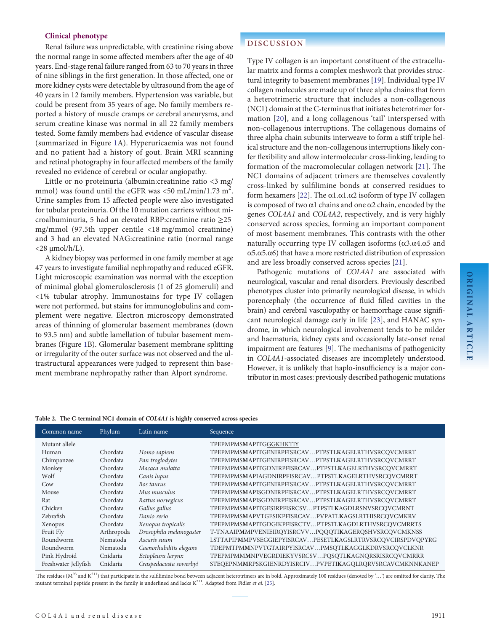#### <span id="page-3-0"></span>Clinical phenotype

Renal failure was unpredictable, with creatinine rising above the normal range in some affected members after the age of 40 years. End-stage renal failure ranged from 63 to 70 years in three of nine siblings in the first generation. In those affected, one or more kidney cysts were detectable by ultrasound from the age of 40 years in 12 family members. Hypertension was variable, but could be present from 35 years of age. No family members reported a history of muscle cramps or cerebral aneurysms, and serum creatine kinase was normal in all 22 family members tested. Some family members had evidence of vascular disease (summarized in Figure [1](#page-1-0)A). Hyperuricaemia was not found and no patient had a history of gout. Brain MRI scanning and retinal photography in four affected members of the family revealed no evidence of cerebral or ocular angiopathy.

Little or no proteinuria (albumin:creatinine ratio <3 mg/ mmol) was found until the eGFR was <50 mL/min/1.73 m<sup>2</sup>. Urine samples from 15 affected people were also investigated for tubular proteinuria. Of the 10 mutation carriers without microalbuminuria, 5 had an elevated RBP:creatinine ratio ≥25 mg/mmol (97.5th upper centile <18 mg/mmol creatinine) and 3 had an elevated NAG:creatinine ratio (normal range  $<$ 28  $\mu$ mol/h/L).

A kidney biopsy was performed in one family member at age 47 years to investigate familial nephropathy and reduced eGFR. Light microscopic examination was normal with the exception of minimal global glomerulosclerosis (1 of 25 glomeruli) and <1% tubular atrophy. Immunostains for type IV collagen were not performed, but stains for immunoglobulins and complement were negative. Electron microscopy demonstrated areas of thinning of glomerular basement membranes (down to 93.5 nm) and subtle lamellation of tubular basement membranes (Figure [1B](#page-1-0)). Glomerular basement membrane splitting or irregularity of the outer surface was not observed and the ultrastructural appearances were judged to represent thin basement membrane nephropathy rather than Alport syndrome.

# **DISCUSSION**

Type IV collagen is an important constituent of the extracellular matrix and forms a complex meshwork that provides structural integrity to basement membranes [\[19\]](#page-6-0). Individual type IV collagen molecules are made up of three alpha chains that form a heterotrimeric structure that includes a non-collagenous (NC1) domain at the C-terminus that initiates heterotrimer formation [[20\]](#page-6-0), and a long collagenous 'tail' interspersed with non-collagenous interruptions. The collagenous domains of three alpha chain subunits interweave to form a stiff triple helical structure and the non-collagenous interruptions likely confer flexibility and allow intermolecular cross-linking, leading to formation of the macromolecular collagen network [[21](#page-6-0)]. The NC1 domains of adjacent trimers are themselves covalently cross-linked by sulfilimine bonds at conserved residues to form hexamers [[22](#page-6-0)]. The α1.α1.α2 isoform of type IV collagen is composed of two  $\alpha$ 1 chains and one  $\alpha$ 2 chain, encoded by the genes COL4A1 and COL4A2, respectively, and is very highly conserved across species, forming an important component of most basement membranes. This contrasts with the other naturally occurring type IV collagen isoforms  $(α3.α4.α5$  and α5.α5.α6) that have a more restricted distribution of expression and are less broadly conserved across species [[21](#page-6-0)].

Pathogenic mutations of COL4A1 are associated with neurological, vascular and renal disorders. Previously described phenotypes cluster into primarily neurological disease, in which porencephaly (the occurrence of fluid filled cavities in the brain) and cerebral vasculopathy or haemorrhage cause significant neurological damage early in life [\[23\]](#page-6-0), and HANAC syndrome, in which neurological involvement tends to be milder and haematuria, kidney cysts and occasionally late-onset renal impairment are features [[9](#page-5-0)]. The mechanisms of pathogenicity in COL4A1-associated diseases are incompletely understood. However, it is unlikely that haplo-insufficiency is a major contributor in most cases: previously described pathogenic mutations

#### Table 2. The C-terminal NC1 domain of COL4A1 is highly conserved across species

| Common name          | Phylum     | Latin name              | Sequence                                                   |
|----------------------|------------|-------------------------|------------------------------------------------------------|
| Mutant allele        |            |                         | TPEPMPMSMAPITGGGKHKTIY                                     |
| Human                | Chordata   | Homo sapiens            | TPEPMPMSMAPITGENIRPFISRCAVPTPSTLKAGELRTHVSRCQVCMRRT        |
| Chimpanzee           | Chordata   | Pan troglodytes         | TPEPMPMSMAPITGENIRPFISRCAVPTPSTLKAGELRTHVSRCOVCMRRT        |
| Monkey               | Chordata   | Macaca mulatta          | TPEPMPMSMAPITGDNIRPFISRCAVPTPSTLKAGELRTHVSRCOVCMRRT        |
| Wolf                 | Chordata   | Canis lupus             | TPEPMPMSMAPIAGDNIRPFISRCAVPTPSTLKAGELRTHVSRCQVCMRRT        |
| Cow                  | Chordata   | Bos taurus              | TPEPMPMSMAPITGENIRPFISRCAVPTPSTLKAGELRTHVSRCQVCMRRT        |
| Mouse                | Chordata   | Mus musculus            | TPEPMPMSMAPISGDNIRPFISRCAVPTPSTLKAGELRTHVSRCQVCMRRT        |
| Rat                  | Chordata   | Rattus norvegicus       | TPEPMPMSMAPISGDNIRPFISRCAVPTPSTLKAGELRTHVSRCQVCMRRT        |
| Chicken              | Chordata   | Gallus gallus           | TPEPMPMSMAPITGESIRPFISRCSVPTPSTLKAGDLRSNVSRCOVCMRNT        |
| Zebrafish            | Chordata   | Danio rerio             | TPEPMPMSMAPVTGESIKPFISRCAVPVPATLKAGSLRTHISRCOVCMKRV        |
| Xenopus              | Chordata   | Xenopus tropicalis      | TPEPMPMSMAPITGDGIKPFISRCTVPTPSTLKAGDLRTHVSRCQVCMRRTS       |
| Fruit Fly            | Arthropoda | Drosophila melanogaster | T-TNAAIPMMPVENIEIROYISRCVVPOOOTIKAGEROSHVSRCOVCMKNSS       |
| Roundworm            | Nematoda   | Ascaris suum            | LSTTAPIPMMPVSEGGIEPYISRCAVPESETLKAGSLRTRVSRCOVCIRSPDVOPYRG |
| Roundworm            | Nematoda   | Caenorhabditis elegans  | TDEPMTPMMNPVTGTAIRPYISRCAVPMSQTLKAGGLKDRVSRCOVCLKNR        |
| Pink Hydroid         | Cnidaria   | Ectopleura larynx       | TPEPMPMMMNPVEGRDIEKYVSRCSVPQSQTLKAGNQRSRISRCQVCMRRR        |
| Freshwater Jellyfish | Cnidaria   | Craspedacusta sowerbyi  | STEQEPNMMRPSKGIENRDYISRCIVPVPETIKAGOLRORVSRCAVCMKNNKANEP   |

The residues ( $M^{93}$  and  $K^{211}$ ) that participate in the sulfilimine bond between adjacent heterotrimers are in bold. Approximately 100 residues (denoted by '...') are omitted for clarity. The mutant terminal peptide present in the family is underlined and lacks  $K^{211}$ . Adapted from Fidler et al. [\[25\]](#page-6-0).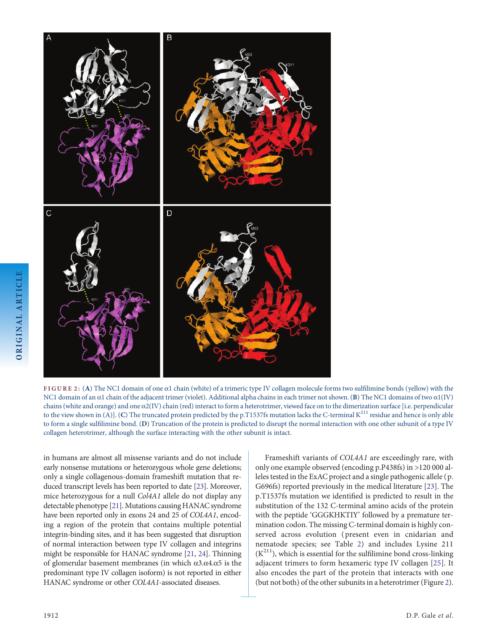

FIGURE 2: (A) The NC1 domain of one α1 chain (white) of a trimeric type IV collagen molecule forms two sulfilimine bonds (yellow) with the NC1 domain of an α1 chain of the adjacent trimer (violet). Additional alpha chains in each trimer not shown. (B) The NC1 domains of two α1(IV) chains (white and orange) and one  $\alpha$ 2(IV) chain (red) interact to form a heterotrimer, viewed face on to the dimerization surface [i.e. perpendicular to the view shown in (A)]. (C) The truncated protein predicted by the p.T1537fs mutation lacks the C-terminal  $K^{211}$  residue and hence is only able to form a single sulfilimine bond. (D) Truncation of the protein is predicted to disrupt the normal interaction with one other subunit of a type IV collagen heterotrimer, although the surface interacting with the other subunit is intact.

in humans are almost all missense variants and do not include early nonsense mutations or heterozygous whole gene deletions; only a single collagenous-domain frameshift mutation that reduced transcript levels has been reported to date [\[23](#page-6-0)]. Moreover, mice heterozygous for a null Col4A1 allele do not display any detectable phenotype [\[21](#page-6-0)]. Mutations causing HANAC syndrome have been reported only in exons 24 and 25 of COL4A1, encoding a region of the protein that contains multiple potential integrin-binding sites, and it has been suggested that disruption of normal interaction between type IV collagen and integrins might be responsible for HANAC syndrome [\[21](#page-6-0), [24\]](#page-6-0). Thinning of glomerular basement membranes (in which α3.α4.α5 is the predominant type IV collagen isoform) is not reported in either HANAC syndrome or other COL4A1-associated diseases.

Frameshift variants of COL4A1 are exceedingly rare, with only one example observed (encoding p.P438fs) in >120 000 alleles tested in the ExAC project and a single pathogenic allele ( p. G696fs) reported previously in the medical literature [[23](#page-6-0)]. The p.T1537fs mutation we identified is predicted to result in the substitution of the 132 C-terminal amino acids of the protein with the peptide 'GGGKHKTIY' followed by a premature termination codon. The missing C-terminal domain is highly conserved across evolution ( present even in cnidarian and nematode species; see Table [2\)](#page-3-0) and includes Lysine 211  $(K<sup>211</sup>)$ , which is essential for the sulfilimine bond cross-linking adjacent trimers to form hexameric type IV collagen [[25\]](#page-6-0). It also encodes the part of the protein that interacts with one (but not both) of the other subunits in a heterotrimer (Figure 2).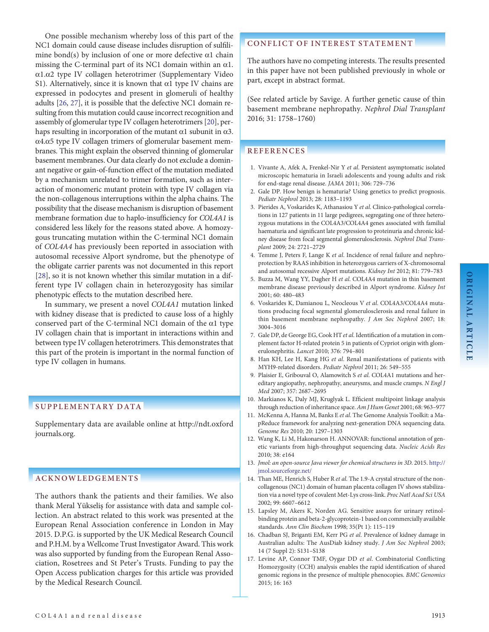<span id="page-5-0"></span>One possible mechanism whereby loss of this part of the NC1 domain could cause disease includes disruption of sulfilimine bond(s) by inclusion of one or more defective  $\alpha$ 1 chain missing the C-terminal part of its NC1 domain within an  $\alpha$ 1. α1.α2 type IV collagen heterotrimer ([Supplementary Video](http://ndt.oxfordjournals.org/lookup/suppl/doi:10.1093/ndt/gfw051/-/DC1) [S1\)](http://ndt.oxfordjournals.org/lookup/suppl/doi:10.1093/ndt/gfw051/-/DC1). Alternatively, since it is known that  $\alpha$ 1 type IV chains are expressed in podocytes and present in glomeruli of healthy adults [\[26](#page-6-0), [27\]](#page-6-0), it is possible that the defective NC1 domain resulting from this mutation could cause incorrect recognition and assembly of glomerular type IV collagen heterotrimers [\[20\]](#page-6-0), perhaps resulting in incorporation of the mutant  $\alpha$ 1 subunit in  $\alpha$ 3. α4.α5 type IV collagen trimers of glomerular basement membranes. This might explain the observed thinning of glomerular basement membranes. Our data clearly do not exclude a dominant negative or gain-of-function effect of the mutation mediated by a mechanism unrelated to trimer formation, such as interaction of monomeric mutant protein with type IV collagen via the non-collagenous interruptions within the alpha chains. The possibility that the disease mechanism is disruption of basement membrane formation due to haplo-insufficiency for COL4A1 is considered less likely for the reasons stated above. A homozygous truncating mutation within the C-terminal NC1 domain of COL4A4 has previously been reported in association with autosomal recessive Alport syndrome, but the phenotype of the obligate carrier parents was not documented in this report [[28](#page-6-0)], so it is not known whether this similar mutation in a different type IV collagen chain in heterozygosity has similar phenotypic effects to the mutation described here.

In summary, we present a novel COL4A1 mutation linked with kidney disease that is predicted to cause loss of a highly conserved part of the C-terminal NC1 domain of the α1 type IV collagen chain that is important in interactions within and between type IV collagen heterotrimers. This demonstrates that this part of the protein is important in the normal function of type IV collagen in humans.

#### SUPPLEMENTARY DATA

[Supplementary data are available online at http://ndt.oxford](http://ndt.oxfordjournals.org/lookup/suppl/doi:10.1093/ndt/gfw051/-/DC1) [journals.org.](http://ndt.oxfordjournals.org/lookup/suppl/doi:10.1093/ndt/gfw051/-/DC1)

### ACKNOWLEDGEMENTS

The authors thank the patients and their families. We also thank Meral Yükseliş for assistance with data and sample collection. An abstract related to this work was presented at the European Renal Association conference in London in May 2015. D.P.G. is supported by the UK Medical Research Council and P.H.M. by a Wellcome Trust Investigator Award. This work was also supported by funding from the European Renal Association, Rosetrees and St Peter's Trusts. Funding to pay the Open Access publication charges for this article was provided by the Medical Research Council.

# CONFLICT OF INTEREST STATEMENT

The authors have no competing interests. The results presented in this paper have not been published previously in whole or part, except in abstract format.

(See related article by Savige. A further genetic cause of thin basement membrane nephropathy. Nephrol Dial Transplant 2016; 31: 1758–1760)

#### **REFERENCES**

- 1. Vivante A, Afek A, Frenkel-Nir Y et al. Persistent asymptomatic isolated microscopic hematuria in Israeli adolescents and young adults and risk for end-stage renal disease. JAMA 2011; 306: 729–736
- 2. Gale DP. How benign is hematuria? Using genetics to predict prognosis. Pediatr Nephrol 2013; 28: 1183–1193
- 3. Pierides A, Voskarides K, Athanasiou Y et al. Clinico-pathological correlations in 127 patients in 11 large pedigrees, segregating one of three heterozygous mutations in the COL4A3/COL4A4 genes associated with familial haematuria and significant late progression to proteinuria and chronic kidney disease from focal segmental glomerulosclerosis. Nephrol Dial Transplant 2009; 24: 2721–2729
- 4. Temme J, Peters F, Lange K et al. Incidence of renal failure and nephroprotection by RAAS inhibition in heterozygous carriers of X-chromosomal and autosomal recessive Alport mutations. Kidney Int 2012; 81: 779–783
- 5. Buzza M, Wang YY, Dagher H et al. COL4A4 mutation in thin basement membrane disease previously described in Alport syndrome. Kidney Int 2001; 60: 480–483
- 6. Voskarides K, Damianou L, Neocleous V et al. COL4A3/COL4A4 mutations producing focal segmental glomerulosclerosis and renal failure in thin basement membrane nephropathy. J Am Soc Nephrol 2007; 18: 3004–3016
- 7. Gale DP, de George EG, Cook HT et al. Identification of a mutation in complement factor H-related protein 5 in patients of Cypriot origin with glomerulonephritis. Lancet 2010; 376: 794–801
- 8. Han KH, Lee H, Kang HG et al. Renal manifestations of patients with MYH9-related disorders. Pediatr Nephrol 2011; 26: 549–555
- 9. Plaisier E, Gribouval O, Alamowitch S et al. COL4A1 mutations and hereditary angiopathy, nephropathy, aneurysms, and muscle cramps. N Engl J Med 2007; 357: 2687–2695
- 10. Markianos K, Daly MJ, Kruglyak L. Efficient multipoint linkage analysis through reduction of inheritance space. Am J Hum Genet 2001; 68: 963–977
- 11. McKenna A, Hanna M, Banks E et al. The Genome Analysis Toolkit: a MapReduce framework for analyzing next-generation DNA sequencing data. Genome Res 2010; 20: 1297–1303
- 12. Wang K, Li M, Hakonarson H. ANNOVAR: functional annotation of genetic variants from high-throughput sequencing data. Nucleic Acids Res 2010; 38: e164
- 13. Jmol: an open-source Java viewer for chemical structures in 3D. 2015. [http://](http://jmol.sourceforge.net/) [jmol.sourceforge.net/](http://jmol.sourceforge.net/)
- 14. Than ME, Henrich S, Huber R et al. The 1.9-A crystal structure of the noncollagenous (NC1) domain of human placenta collagen IV shows stabilization via a novel type of covalent Met-Lys cross-link. Proc Natl Acad Sci USA 2002; 99: 6607–6612
- 15. Lapsley M, Akers K, Norden AG. Sensitive assays for urinary retinolbinding protein and beta-2-glycoprotein-1 based on commercially available standards. Ann Clin Biochem 1998; 35(Pt 1): 115–119
- 16. Chadban SJ, Briganti EM, Kerr PG et al. Prevalence of kidney damage in Australian adults: The AusDiab kidney study. J Am Soc Nephrol 2003; 14 (7 Suppl 2): S131–S138
- 17. Levine AP, Connor TMF, Oygar DD et al. Combinatorial Conflicting Homozygosity (CCH) analysis enables the rapid identification of shared genomic regions in the presence of multiple phenocopies. BMC Genomics 2015; 16: 163